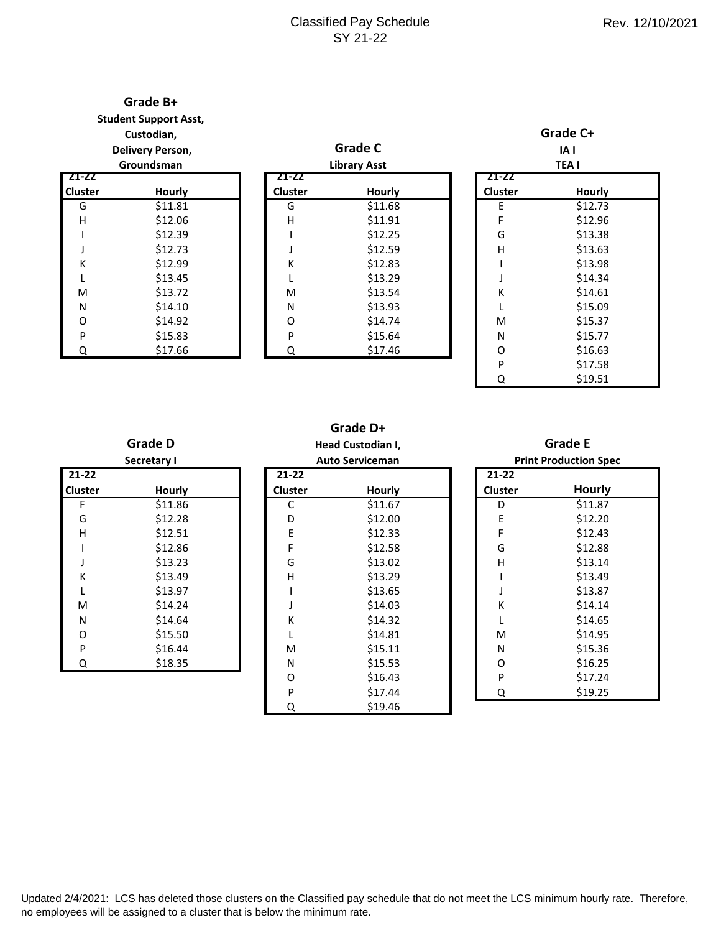### Classified Pay Schedule SY 21-22

# **Grade B+**

**Student Support Asst,**

**Custodian,**

#### **Delivery Person, Groundsman**

|                | urounusman |  |  |  |  |
|----------------|------------|--|--|--|--|
| 21-22          |            |  |  |  |  |
| <b>Cluster</b> | Hourly     |  |  |  |  |
| G              | \$11.81    |  |  |  |  |
| н              | \$12.06    |  |  |  |  |
| ı              | \$12.39    |  |  |  |  |
| J              | \$12.73    |  |  |  |  |
| K              | \$12.99    |  |  |  |  |
| L              | \$13.45    |  |  |  |  |
| M              | \$13.72    |  |  |  |  |
| N              | \$14.10    |  |  |  |  |
| 0              | \$14.92    |  |  |  |  |
| P              | \$15.83    |  |  |  |  |
|                | \$17.66    |  |  |  |  |

|       | <b>Delivery Person,</b> |                | <b>Grade C</b>      |                | IAI         |  |  |
|-------|-------------------------|----------------|---------------------|----------------|-------------|--|--|
|       | Groundsman              |                | <b>Library Asst</b> |                | <b>TEAI</b> |  |  |
| -22   |                         | 21-22          |                     | 21-22          |             |  |  |
| ıster | <b>Hourly</b>           | <b>Cluster</b> | <b>Hourly</b>       | <b>Cluster</b> | Hourly      |  |  |
| G     | \$11.81                 | G              | \$11.68             | E              | \$12.73     |  |  |
| Η     | \$12.06                 | H              | \$11.91             | F              | \$12.96     |  |  |
|       | \$12.39                 |                | \$12.25             | G              | \$13.38     |  |  |
| J     | \$12.73                 |                | \$12.59             | H              | \$13.63     |  |  |
| K     | \$12.99                 | К              | \$12.83             |                | \$13.98     |  |  |
| L     | \$13.45                 |                | \$13.29             |                | \$14.34     |  |  |
| M     | \$13.72                 | M              | \$13.54             | К              | \$14.61     |  |  |
| N     | \$14.10                 | N              | \$13.93             |                | \$15.09     |  |  |
| O     | \$14.92                 | O              | \$14.74             | M              | \$15.37     |  |  |
| P     | \$15.83                 | P              | \$15.64             | N              | \$15.77     |  |  |
| Q     | \$17.66                 | Q              | \$17.46             | O              | \$16.63     |  |  |
|       |                         |                |                     | P              | \$17.58     |  |  |
|       |                         |                |                     |                |             |  |  |

| IA I<br><b>TEAI</b> |               |  |
|---------------------|---------------|--|
| 21-22               |               |  |
| <b>Cluster</b>      | <b>Hourly</b> |  |
| E                   | \$12.73       |  |
| F                   | \$12.96       |  |
| G                   | \$13.38       |  |
| н                   | \$13.63       |  |
|                     | \$13.98       |  |
| J                   | \$14.34       |  |
| K                   | \$14.61       |  |
| L                   | \$15.09       |  |
| M                   | \$15.37       |  |
| N                   | \$15.77       |  |
| O                   | \$16.63       |  |
| P                   | \$17.58       |  |
| Q                   | \$19.51       |  |

**Grade C+** 

## **Grade D+ Head Custodian I,**

| 21-22          |         |  |
|----------------|---------|--|
| <b>Cluster</b> | Hourly  |  |
| F              | \$11.86 |  |
| G              | \$12.28 |  |
| н              | \$12.51 |  |
| ı              | \$12.86 |  |
| J              | \$13.23 |  |
| К              | \$13.49 |  |
| L              | \$13.97 |  |
| M              | \$14.24 |  |
| N              | \$14.64 |  |
| Ω              | \$15.50 |  |
| P              | \$16.44 |  |
| Э.             | \$18.35 |  |

**Grade D**

| <b>Secretary I</b> |               |                | <b>Auto Serviceman</b> |                | <b>Print Production Sp</b> |
|--------------------|---------------|----------------|------------------------|----------------|----------------------------|
| $-22$              |               | 21-22          |                        | $21 - 22$      |                            |
| ıster              | <b>Hourly</b> | <b>Cluster</b> | Hourly                 | <b>Cluster</b> | <b>Hourly</b>              |
| F                  | \$11.86       | C              | \$11.67                | D              | \$11.87                    |
| G                  | \$12.28       | D              | \$12.00                | E              | \$12.20                    |
| H                  | \$12.51       | Ε              | \$12.33                | F              | \$12.43                    |
|                    | \$12.86       | F              | \$12.58                | G              | \$12.88                    |
| J                  | \$13.23       | G              | \$13.02                | H              | \$13.14                    |
| K                  | \$13.49       | H              | \$13.29                |                | \$13.49                    |
| L                  | \$13.97       |                | \$13.65                |                | \$13.87                    |
| M                  | \$14.24       |                | \$14.03                | К              | \$14.14                    |
| N                  | \$14.64       | Κ              | \$14.32                |                | \$14.65                    |
| O                  | \$15.50       |                | \$14.81                | M              | \$14.95                    |
| P                  | \$16.44       | M              | \$15.11                | N              | \$15.36                    |
| $\overline{Q}$     | \$18.35       | N              | \$15.53                | O              | \$16.25                    |
|                    |               | O              | \$16.43                | P              | \$17.24                    |
|                    |               | P              | \$17.44                | Q              | \$19.25                    |
|                    |               | Q              | \$19.46                |                |                            |

## **Grade E**

| <b>Print Production Spec</b> |               |  |  |  |
|------------------------------|---------------|--|--|--|
| $21 - 22$                    |               |  |  |  |
| Cluster                      | <b>Hourly</b> |  |  |  |
| D                            | \$11.87       |  |  |  |
| F                            | \$12.20       |  |  |  |
| F                            | \$12.43       |  |  |  |
| G                            | \$12.88       |  |  |  |
| н                            | \$13.14       |  |  |  |
|                              | \$13.49       |  |  |  |
| H                            | \$13.87       |  |  |  |
| К                            | \$14.14       |  |  |  |
| L                            | \$14.65       |  |  |  |
| M                            | \$14.95       |  |  |  |
| N                            | \$15.36       |  |  |  |
| Ω                            | \$16.25       |  |  |  |
| P                            | \$17.24       |  |  |  |
| Q                            | \$19.25       |  |  |  |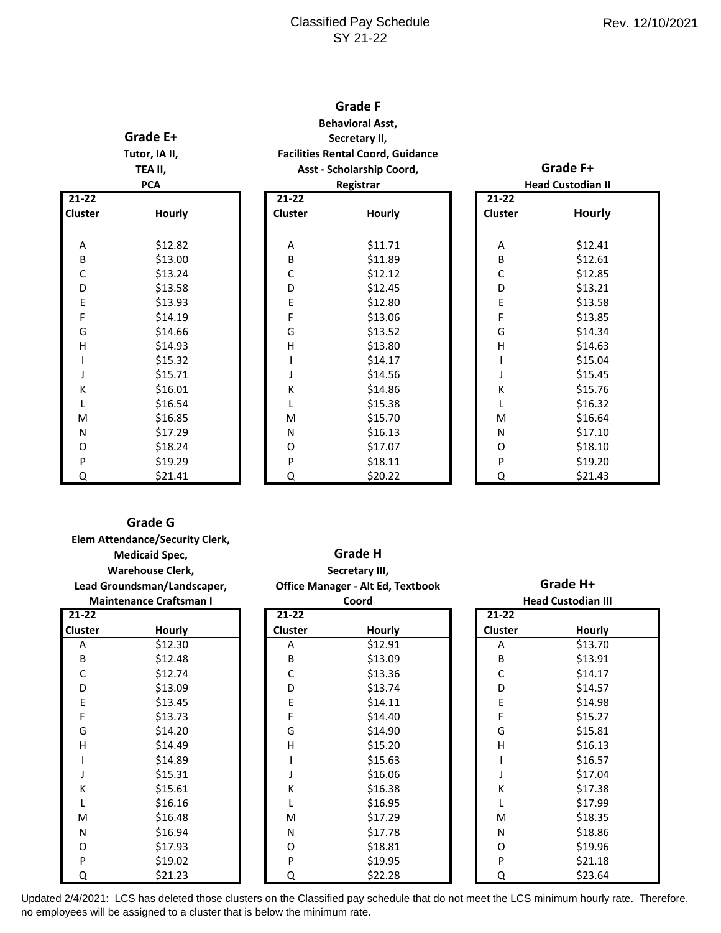### Classified Pay Schedule SY 21-22

#### **Grade F Behavioral Asst,**

## **Grade E+ Tutor, IA II, TEA II,**

**Secretary II, Facilities Rental Coord, Guidance Asst - Scholarship Coord,**

| <b>PCA</b> |               |  |  |
|------------|---------------|--|--|
| $21 - 22$  |               |  |  |
| Cluster    | <b>Hourly</b> |  |  |
|            |               |  |  |
| Α          | \$12.82       |  |  |
| B          | \$13.00       |  |  |
| C          | \$13.24       |  |  |
| D          | \$13.58       |  |  |
| E          | \$13.93       |  |  |
| F          | \$14.19       |  |  |
| G          | \$14.66       |  |  |
| н          | \$14.93       |  |  |
| ı          | \$15.32       |  |  |
| J          | \$15.71       |  |  |
| К          | \$16.01       |  |  |
| L          | \$16.54       |  |  |
| M          | \$16.85       |  |  |
| N          | \$17.29       |  |  |
| O          | \$18.24       |  |  |
| P          | \$19.29       |  |  |
| ∩          | \$21.41       |  |  |

| <b>PCA</b> |               | Registrar      |               |  | <b>Head Custodian I</b> |               |  |
|------------|---------------|----------------|---------------|--|-------------------------|---------------|--|
| $-22$      |               | $21 - 22$      |               |  | $21 - 22$               |               |  |
| ıster      | <b>Hourly</b> | <b>Cluster</b> | <b>Hourly</b> |  | Cluster                 | <b>Hourly</b> |  |
|            |               |                |               |  |                         |               |  |
| Α          | \$12.82       | Α              | \$11.71       |  | Α                       | \$12.41       |  |
| B          | \$13.00       | B              | \$11.89       |  | B                       | \$12.61       |  |
| C          | \$13.24       | C              | \$12.12       |  | C                       | \$12.85       |  |
| D          | \$13.58       | D              | \$12.45       |  | D                       | \$13.21       |  |
| Е          | \$13.93       | E              | \$12.80       |  | E                       | \$13.58       |  |
| F          | \$14.19       | F              | \$13.06       |  | F                       | \$13.85       |  |
| G          | \$14.66       | G              | \$13.52       |  | G                       | \$14.34       |  |
| Η          | \$14.93       | H              | \$13.80       |  | H                       | \$14.63       |  |
| I          | \$15.32       |                | \$14.17       |  |                         | \$15.04       |  |
| J          | \$15.71       |                | \$14.56       |  |                         | \$15.45       |  |
| Κ          | \$16.01       | Κ              | \$14.86       |  | К                       | \$15.76       |  |
| L          | \$16.54       |                | \$15.38       |  |                         | \$16.32       |  |
| M          | \$16.85       | M              | \$15.70       |  | M                       | \$16.64       |  |
| N          | \$17.29       | N              | \$16.13       |  | N                       | \$17.10       |  |
| 0          | \$18.24       | O              | \$17.07       |  | O                       | \$18.10       |  |
| P          | \$19.29       | P              | \$18.11       |  | P                       | \$19.20       |  |
| Q          | \$21.41       | Q              | \$20.22       |  | Q                       | \$21.43       |  |

| <b>Head Custodian II</b> |               |  |  |  |
|--------------------------|---------------|--|--|--|
| 21-22                    |               |  |  |  |
| Cluster                  | <b>Hourly</b> |  |  |  |
|                          |               |  |  |  |
| А                        | \$12.41       |  |  |  |
| B                        | \$12.61       |  |  |  |
| C                        | \$12.85       |  |  |  |
| D                        | \$13.21       |  |  |  |
| E                        | \$13.58       |  |  |  |
| F                        | \$13.85       |  |  |  |
| G                        | \$14.34       |  |  |  |
| Н                        | \$14.63       |  |  |  |
| I                        | \$15.04       |  |  |  |
| J                        | \$15.45       |  |  |  |
| K                        | \$15.76       |  |  |  |
| L                        | \$16.32       |  |  |  |
| M                        | \$16.64       |  |  |  |
| N                        | \$17.10       |  |  |  |
| 0                        | \$18.10       |  |  |  |
| P                        | \$19.20       |  |  |  |
| ∩                        | \$21.43       |  |  |  |

**Grade F+**

#### **Grade G**

|                             | <b>Elem Attendance/Security Clerk,</b><br><b>Medicaid Spec,</b><br><b>Warehouse Clerk,</b> |                | <b>Grade H</b><br>Secretary III,         |  |                |                           |
|-----------------------------|--------------------------------------------------------------------------------------------|----------------|------------------------------------------|--|----------------|---------------------------|
| Lead Groundsman/Landscaper, |                                                                                            |                | <b>Office Manager - Alt Ed, Textbook</b> |  |                | Grade H+                  |
|                             | <b>Maintenance Craftsman I</b>                                                             |                | Coord                                    |  |                | <b>Head Custodian III</b> |
| $21 - 22$                   |                                                                                            | $21 - 22$      |                                          |  | $21 - 22$      |                           |
| <b>Cluster</b>              | Hourly                                                                                     | <b>Cluster</b> | <b>Hourly</b>                            |  | <b>Cluster</b> | Hourly                    |
| Α                           | \$12.30                                                                                    | Α              | \$12.91                                  |  | Α              | \$13.70                   |
| B                           | \$12.48                                                                                    | В              | \$13.09                                  |  | B              | \$13.91                   |
| С                           | \$12.74                                                                                    | С              | \$13.36                                  |  | С              | \$14.17                   |
| D                           | \$13.09                                                                                    | D              | \$13.74                                  |  | D              | \$14.57                   |
| E                           | \$13.45                                                                                    | E              | \$14.11                                  |  | Ε              | \$14.98                   |
| F                           | \$13.73                                                                                    | F              | \$14.40                                  |  | F              | \$15.27                   |
| G                           | \$14.20                                                                                    | G              | \$14.90                                  |  | G              | \$15.81                   |
| Н                           | \$14.49                                                                                    | н              | \$15.20                                  |  | н              | \$16.13                   |
|                             | \$14.89                                                                                    |                | \$15.63                                  |  |                | \$16.57                   |
|                             | \$15.31                                                                                    |                | \$16.06                                  |  |                | \$17.04                   |
| Κ                           | \$15.61                                                                                    | Κ              | \$16.38                                  |  | Κ              | \$17.38                   |
|                             | \$16.16                                                                                    |                | \$16.95                                  |  |                | \$17.99                   |
| M                           | \$16.48                                                                                    | M              | \$17.29                                  |  | M              | \$18.35                   |
| N                           | \$16.94                                                                                    | N              | \$17.78                                  |  | N              | \$18.86                   |
| 0                           | \$17.93                                                                                    | O              | \$18.81                                  |  | 0              | \$19.96                   |
| P                           | \$19.02                                                                                    | P              | \$19.95                                  |  | P              | \$21.18                   |
| Q                           | \$21.23                                                                                    | Q              | \$22.28                                  |  | Q              | \$23.64                   |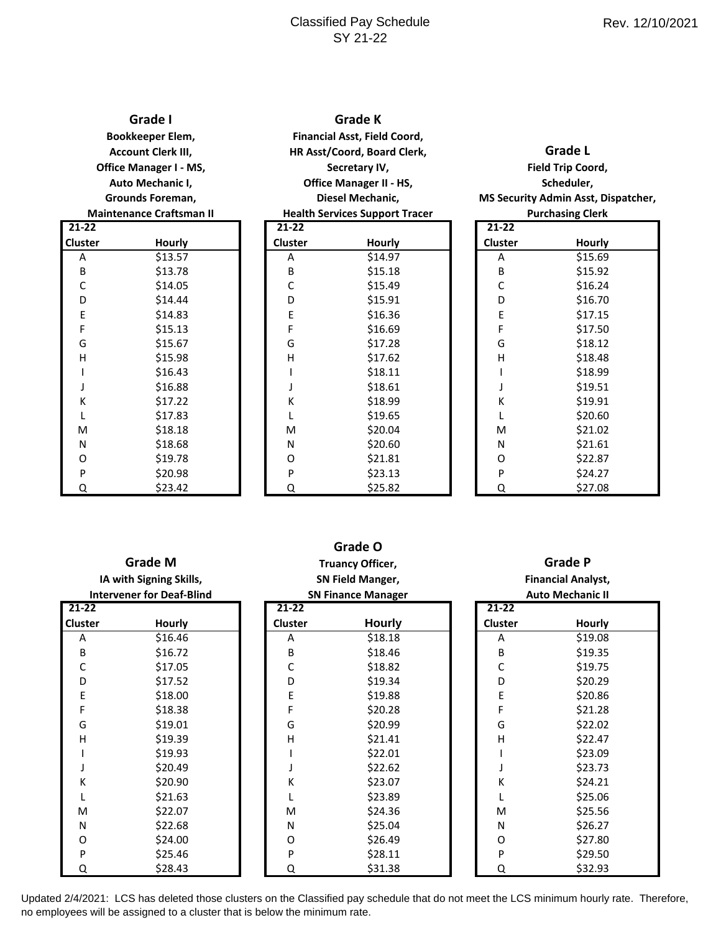### Classified Pay Schedule SY 21-22

| Grade I                         |
|---------------------------------|
| Bookkeeper Elem,                |
| <b>Account Clerk III,</b>       |
| <b>Office Manager I - MS,</b>   |
| Auto Mechanic I,                |
| Grounds Foreman,                |
| <b>Maintenance Craftsman II</b> |

| $21 - 22$ |         |
|-----------|---------|
| Cluster   | Hourly  |
| А         | \$13.57 |
| B         | \$13.78 |
| C         | \$14.05 |
| D         | \$14.44 |
| E         | \$14.83 |
| F         | \$15.13 |
| G         | \$15.67 |
| н         | \$15.98 |
|           | \$16.43 |
| J         | \$16.88 |
| K         | \$17.22 |
| L         | \$17.83 |
| M         | \$18.18 |
| Ν         | \$18.68 |
| 0         | \$19.78 |
| P         | \$20.98 |
|           | רו כר¢  |

| Grade K                               |
|---------------------------------------|
| <b>Financial Asst, Field Coord,</b>   |
| HR Asst/Coord, Board Clerk,           |
| Secretary IV,                         |
| <b>Office Manager II - HS,</b>        |
| Diesel Mechanic,                      |
| <b>Health Services Support Tracer</b> |

| L-22  |               | 21-22          |               | 21-22   |         |
|-------|---------------|----------------|---------------|---------|---------|
| ıster | <b>Hourly</b> | <b>Cluster</b> | <b>Hourly</b> | Cluster | Hourly  |
| Α     | \$13.57       | A              | \$14.97       | Α       | \$15.69 |
| B     | \$13.78       | B              | \$15.18       | B       | \$15.92 |
| С     | \$14.05       | С              | \$15.49       | С       | \$16.24 |
| D     | \$14.44       | D              | \$15.91       | D       | \$16.70 |
| Ε     | \$14.83       | E              | \$16.36       | E       | \$17.15 |
| F     | \$15.13       | F              | \$16.69       | F       | \$17.50 |
| G     | \$15.67       | G              | \$17.28       | G       | \$18.12 |
| н     | \$15.98       | H              | \$17.62       | H       | \$18.48 |
|       | \$16.43       |                | \$18.11       |         | \$18.99 |
|       | \$16.88       |                | \$18.61       |         | \$19.51 |
| К     | \$17.22       | Κ              | \$18.99       | K       | \$19.91 |
| L     | \$17.83       |                | \$19.65       |         | \$20.60 |
| M     | \$18.18       | M              | \$20.04       | M       | \$21.02 |
| N     | \$18.68       | N              | \$20.60       | N       | \$21.61 |
| 0     | \$19.78       | O              | \$21.81       | O       | \$22.87 |
| P     | \$20.98       | P              | \$23.13       | P       | \$24.27 |
| Q     | \$23.42       | Q              | \$25.82       | Q       | \$27.08 |

| Grade L                                    |
|--------------------------------------------|
| Field Trip Coord,                          |
| Scheduler.                                 |
| <b>MS Security Admin Asst, Dispatcher,</b> |
| <b>Purchasing Clerk</b>                    |

| $21 - 22$      |         |
|----------------|---------|
| <b>Cluster</b> | Hourly  |
| А              | \$15.69 |
| B              | \$15.92 |
| C              | \$16.24 |
| D              | \$16.70 |
| E              | \$17.15 |
| F              | \$17.50 |
| G              | \$18.12 |
| H              | \$18.48 |
| ı              | \$18.99 |
| J              | \$19.51 |
| K              | \$19.91 |
| L              | \$20.60 |
| M              | \$21.02 |
| N              | \$21.61 |
| 0              | \$22.87 |
| P              | \$24.27 |
| Q              | \$27.08 |

| <b>Grade M</b><br>IA with Signing Skills,<br><b>Intervener for Deaf-Blind</b> |         | Truancy Officer,<br><b>SN Field Manger,</b><br><b>SN Finance Manager</b> |               | <b>Grade P</b><br><b>Financial Analyst,</b><br><b>Auto Mechanic II</b> |         |  |
|-------------------------------------------------------------------------------|---------|--------------------------------------------------------------------------|---------------|------------------------------------------------------------------------|---------|--|
| $21 - 22$                                                                     |         | $21 - 22$                                                                |               | $21 - 22$                                                              |         |  |
| <b>Cluster</b>                                                                | Hourly  | <b>Cluster</b>                                                           | <b>Hourly</b> | Cluster                                                                | Hourly  |  |
| A                                                                             | \$16.46 | A                                                                        | \$18.18       | A                                                                      | \$19.08 |  |
| B                                                                             | \$16.72 | B                                                                        | \$18.46       | В                                                                      | \$19.35 |  |
| С                                                                             | \$17.05 | С                                                                        | \$18.82       | С                                                                      | \$19.75 |  |
| D                                                                             | \$17.52 | D                                                                        | \$19.34       | D                                                                      | \$20.29 |  |
| Ε                                                                             | \$18.00 | E                                                                        | \$19.88       | E                                                                      | \$20.86 |  |
| F                                                                             | \$18.38 | F                                                                        | \$20.28       | F                                                                      | \$21.28 |  |
| G                                                                             | \$19.01 | G                                                                        | \$20.99       | G                                                                      | \$22.02 |  |
| н                                                                             | \$19.39 | Н                                                                        | \$21.41       | Η                                                                      | \$22.47 |  |
|                                                                               | \$19.93 |                                                                          | \$22.01       |                                                                        | \$23.09 |  |
|                                                                               | \$20.49 |                                                                          | \$22.62       |                                                                        | \$23.73 |  |
| Κ                                                                             | \$20.90 | K                                                                        | \$23.07       | Κ                                                                      | \$24.21 |  |
|                                                                               | \$21.63 |                                                                          | \$23.89       |                                                                        | \$25.06 |  |
| M                                                                             | \$22.07 | M                                                                        | \$24.36       | M                                                                      | \$25.56 |  |
| N                                                                             | \$22.68 | N                                                                        | \$25.04       | N                                                                      | \$26.27 |  |
| 0                                                                             | \$24.00 | O                                                                        | \$26.49       | O                                                                      | \$27.80 |  |
| P                                                                             | \$25.46 | P                                                                        | \$28.11       | P                                                                      | \$29.50 |  |
| Q                                                                             | \$28.43 | Q                                                                        | \$31.38       | Q                                                                      | \$32.93 |  |

**Grade O**